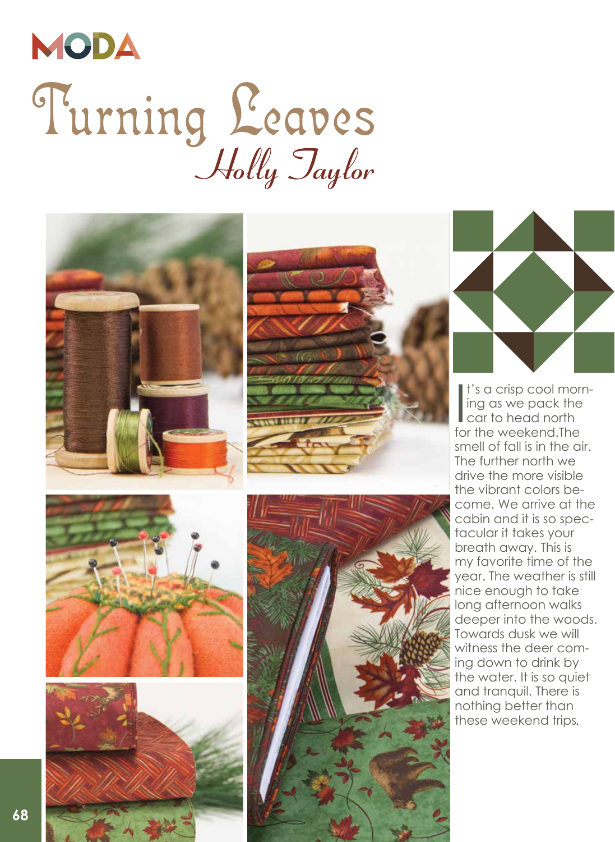## MODA Turning Leaves

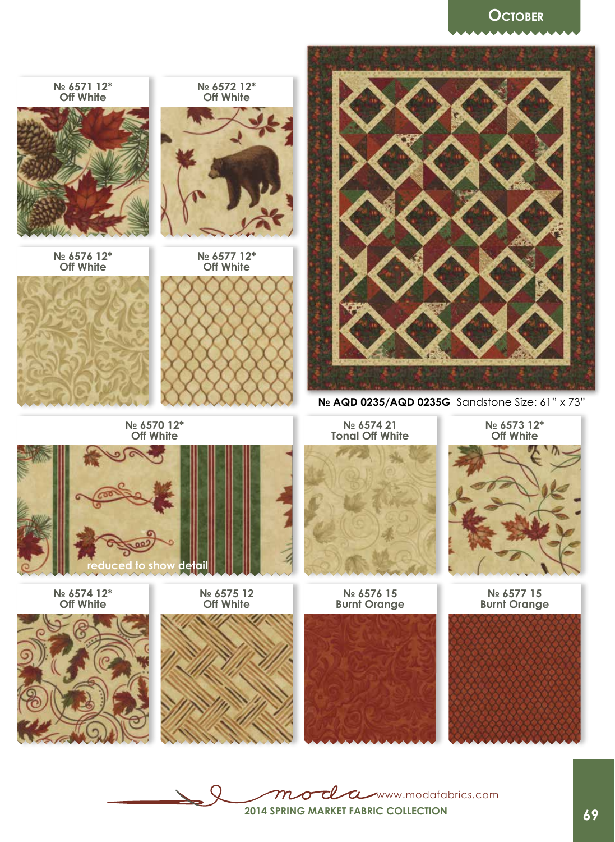## **October**



T Www.modafabrics.com  $\bm{m}$ ∩ **2014 Spring market Fabric collection**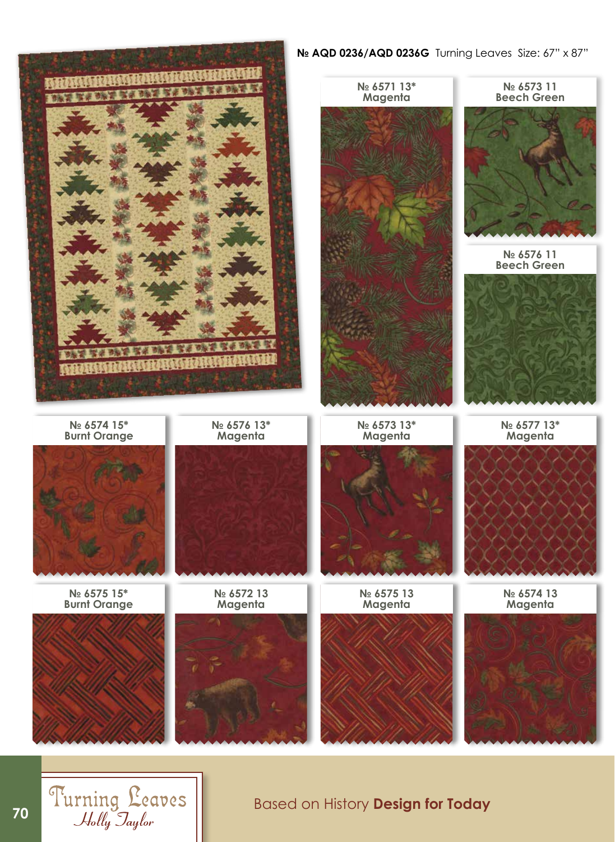**№ AQD 0236/AQD 0236G** Turning Leaves Size: 67" x 87"